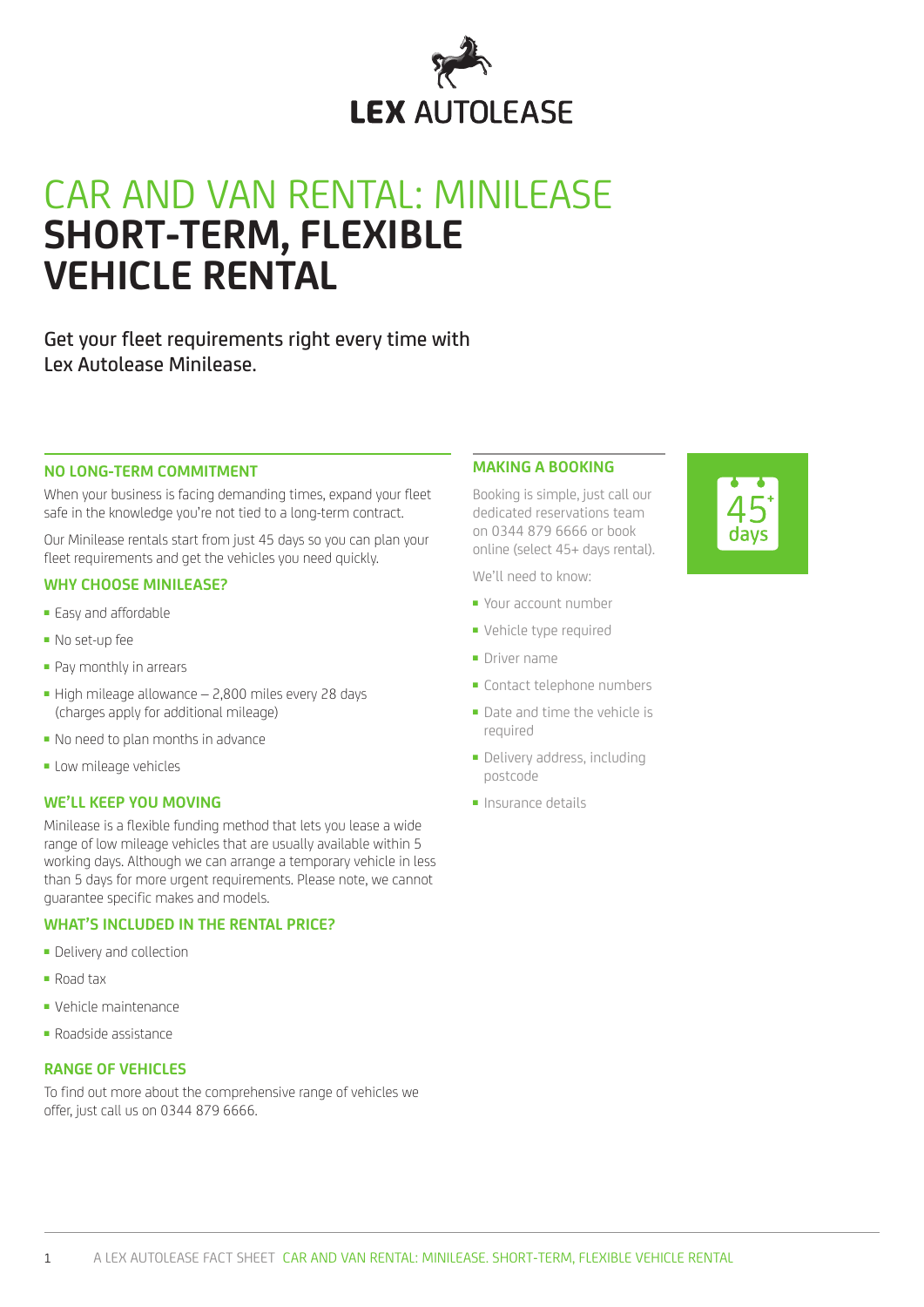

# CAR AND VAN RENTAL: MINILEASE **SHORT-TERM, FLEXIBLE VEHICLE RENTAL**

Get your fleet requirements right every time with Lex Autolease Minilease.

#### **NO LONG-TERM COMMITMENT**

When your business is facing demanding times, expand your fleet safe in the knowledge you're not tied to a long-term contract.

Our Minilease rentals start from just 45 days so you can plan your fleet requirements and get the vehicles you need quickly.

#### **WHY CHOOSE MINILEASE?**

- Easy and affordable
- No set-up fee
- Pay monthly in arrears
- High mileage allowance 2,800 miles every 28 days (charges apply for additional mileage)
- No need to plan months in advance
- Low mileage vehicles

# **WE'LL KEEP YOU MOVING**

Minilease is a flexible funding method that lets you lease a wide range of low mileage vehicles that are usually available within 5 working days. Although we can arrange a temporary vehicle in less than 5 days for more urgent requirements. Please note, we cannot guarantee specific makes and models.

## **WHAT'S INCLUDED IN THE RENTAL PRICE?**

- Delivery and collection
- Road tax
- Vehicle maintenance
- Roadside assistance

#### **RANGE OF VEHICLES**

To find out more about the comprehensive range of vehicles we offer, just call us on 0344 879 6666.

#### **MAKING A BOOKING**

Booking is simple, just call our dedicated reservations team on 0344 879 6666 or book online (select 45+ days rental).

We'll need to know:

- Your account number
- Vehicle type required
- Driver name
- Contact telephone numbers
- Date and time the vehicle is required
- Delivery address, including postcode
- Insurance details